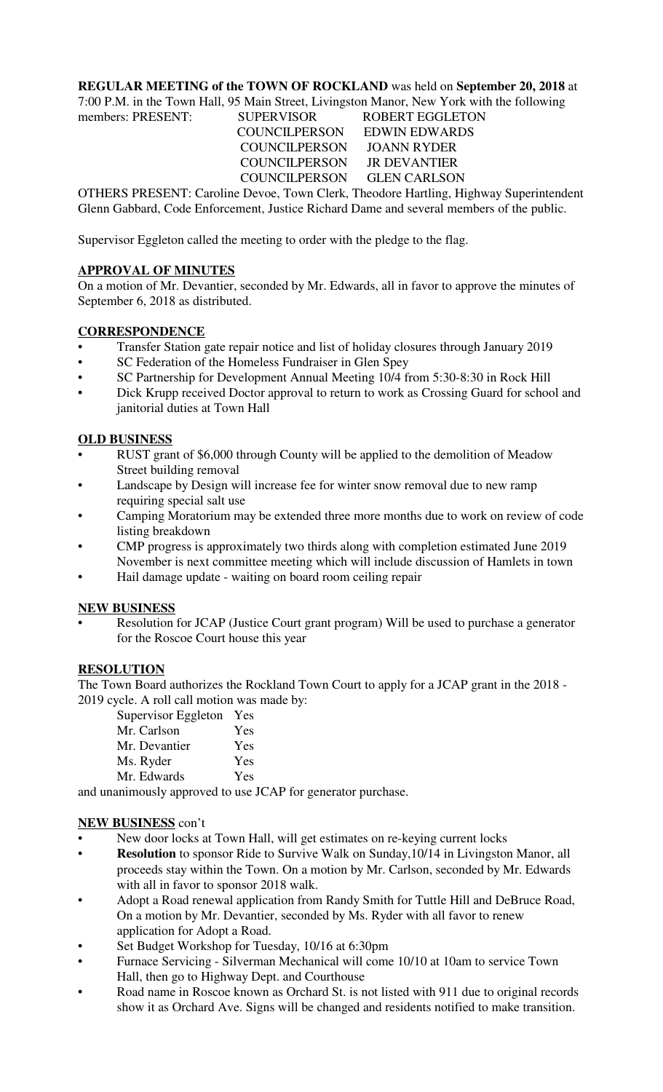### **REGULAR MEETING of the TOWN OF ROCKLAND** was held on **September 20, 2018** at

7:00 P.M. in the Town Hall, 95 Main Street, Livingston Manor, New York with the following members: PRESENT: SUPERVISOR ROBERT EGGLETON COUNCILPERSON EDWIN EDWARDS COUNCILPERSON JOANN RYDER COUNCILPERSON JR DEVANTIER COUNCILPERSON GLEN CARLSON

OTHERS PRESENT: Caroline Devoe, Town Clerk, Theodore Hartling, Highway Superintendent Glenn Gabbard, Code Enforcement, Justice Richard Dame and several members of the public.

Supervisor Eggleton called the meeting to order with the pledge to the flag.

## **APPROVAL OF MINUTES**

On a motion of Mr. Devantier, seconded by Mr. Edwards, all in favor to approve the minutes of September 6, 2018 as distributed.

# **CORRESPONDENCE**

- Transfer Station gate repair notice and list of holiday closures through January 2019
- SC Federation of the Homeless Fundraiser in Glen Spey
- SC Partnership for Development Annual Meeting 10/4 from 5:30-8:30 in Rock Hill
- Dick Krupp received Doctor approval to return to work as Crossing Guard for school and janitorial duties at Town Hall

## **OLD BUSINESS**

- RUST grant of \$6,000 through County will be applied to the demolition of Meadow Street building removal
- Landscape by Design will increase fee for winter snow removal due to new ramp requiring special salt use
- Camping Moratorium may be extended three more months due to work on review of code listing breakdown
- CMP progress is approximately two thirds along with completion estimated June 2019 November is next committee meeting which will include discussion of Hamlets in town
- Hail damage update waiting on board room ceiling repair

# **NEW BUSINESS**

• Resolution for JCAP (Justice Court grant program) Will be used to purchase a generator for the Roscoe Court house this year

# **RESOLUTION**

The Town Board authorizes the Rockland Town Court to apply for a JCAP grant in the 2018 - 2019 cycle. A roll call motion was made by:

Supervisor Eggleton Yes

| $\rightarrow$ |     |
|---------------|-----|
| Mr. Carlson   | Yes |
| Mr. Devantier | Yes |
| Ms. Ryder     | Yes |
| Mr. Edwards   | Yes |
|               |     |

and unanimously approved to use JCAP for generator purchase.

#### **NEW BUSINESS** con't

- New door locks at Town Hall, will get estimates on re-keying current locks
- **Resolution** to sponsor Ride to Survive Walk on Sunday, 10/14 in Livingston Manor, all proceeds stay within the Town. On a motion by Mr. Carlson, seconded by Mr. Edwards with all in favor to sponsor 2018 walk.
- Adopt a Road renewal application from Randy Smith for Tuttle Hill and DeBruce Road, On a motion by Mr. Devantier, seconded by Ms. Ryder with all favor to renew application for Adopt a Road.
- Set Budget Workshop for Tuesday, 10/16 at 6:30pm
- Furnace Servicing Silverman Mechanical will come 10/10 at 10am to service Town Hall, then go to Highway Dept. and Courthouse
- Road name in Roscoe known as Orchard St. is not listed with 911 due to original records show it as Orchard Ave. Signs will be changed and residents notified to make transition.